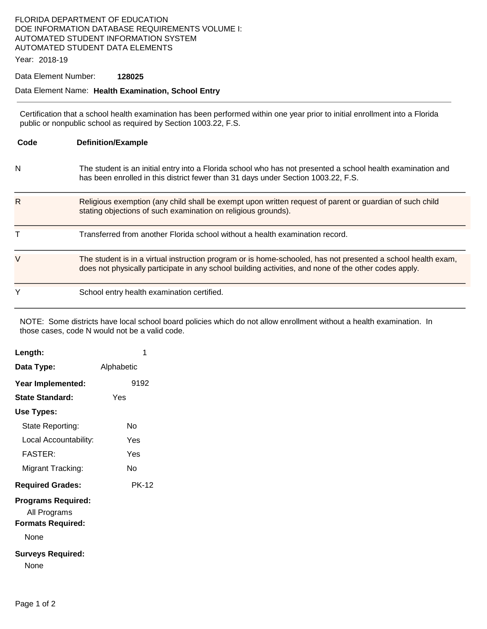### FLORIDA DEPARTMENT OF EDUCATION DOE INFORMATION DATABASE REQUIREMENTS VOLUME I: AUTOMATED STUDENT INFORMATION SYSTEM AUTOMATED STUDENT DATA ELEMENTS

Year: 2018-19

#### Data Element Number: **128025**

#### Data Element Name: **Health Examination, School Entry**

Certification that a school health examination has been performed within one year prior to initial enrollment into a Florida public or nonpublic school as required by Section 1003.22, F.S.

| Code | <b>Definition/Example</b>                                                                                                                                                                                             |
|------|-----------------------------------------------------------------------------------------------------------------------------------------------------------------------------------------------------------------------|
| N    | The student is an initial entry into a Florida school who has not presented a school health examination and<br>has been enrolled in this district fewer than 31 days under Section 1003.22, F.S.                      |
| R    | Religious exemption (any child shall be exempt upon written request of parent or guardian of such child<br>stating objections of such examination on religious grounds).                                              |
| Т    | Transferred from another Florida school without a health examination record.                                                                                                                                          |
| V    | The student is in a virtual instruction program or is home-schooled, has not presented a school health exam,<br>does not physically participate in any school building activities, and none of the other codes apply. |
| Y    | School entry health examination certified.                                                                                                                                                                            |

NOTE: Some districts have local school board policies which do not allow enrollment without a health examination. In those cases, code N would not be a valid code.

| Length:                                                                                                   | 1            |
|-----------------------------------------------------------------------------------------------------------|--------------|
| Data Type:                                                                                                | Alphabetic   |
| Year Implemented:                                                                                         | 9192         |
| <b>State Standard:</b>                                                                                    | Yes          |
| Use Types:                                                                                                |              |
| State Reporting:                                                                                          | N٥           |
| Local Accountability:                                                                                     | Yes          |
| FASTER:                                                                                                   | Yes          |
| Migrant Tracking:                                                                                         | N٥           |
| <b>Required Grades:</b>                                                                                   | <b>PK-12</b> |
| <b>Programs Required:</b><br>All Programs<br><b>Formats Required:</b><br>None<br><b>Surveys Required:</b> |              |
| None                                                                                                      |              |